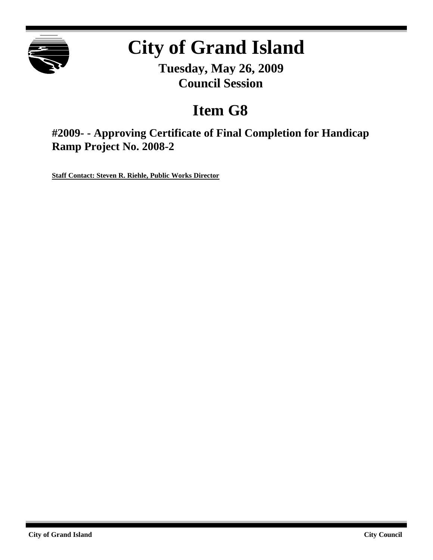

# **City of Grand Island**

**Tuesday, May 26, 2009 Council Session**

## **Item G8**

**#2009- - Approving Certificate of Final Completion for Handicap Ramp Project No. 2008-2**

**Staff Contact: Steven R. Riehle, Public Works Director**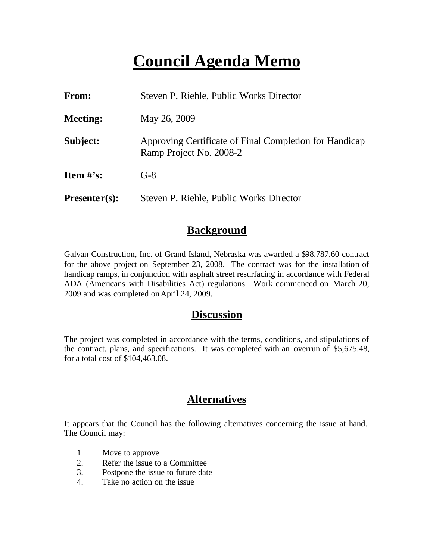## **Council Agenda Memo**

| From:           | Steven P. Riehle, Public Works Director                                           |  |  |  |
|-----------------|-----------------------------------------------------------------------------------|--|--|--|
| <b>Meeting:</b> | May 26, 2009                                                                      |  |  |  |
| Subject:        | Approving Certificate of Final Completion for Handicap<br>Ramp Project No. 2008-2 |  |  |  |
| Item $\#$ 's:   | $G-8$                                                                             |  |  |  |
| $Presenter(s):$ | Steven P. Riehle, Public Works Director                                           |  |  |  |

#### **Background**

Galvan Construction, Inc. of Grand Island, Nebraska was awarded a \$98,787.60 contract for the above project on September 23, 2008. The contract was for the installation of handicap ramps, in conjunction with asphalt street resurfacing in accordance with Federal ADA (Americans with Disabilities Act) regulations. Work commenced on March 20, 2009 and was completed onApril 24, 2009.

#### **Discussion**

The project was completed in accordance with the terms, conditions, and stipulations of the contract, plans, and specifications. It was completed with an overrun of \$5,675.48, for a total cost of \$104,463.08.

### **Alternatives**

It appears that the Council has the following alternatives concerning the issue at hand. The Council may:

- 1. Move to approve
- 2. Refer the issue to a Committee
- 3. Postpone the issue to future date
- 4. Take no action on the issue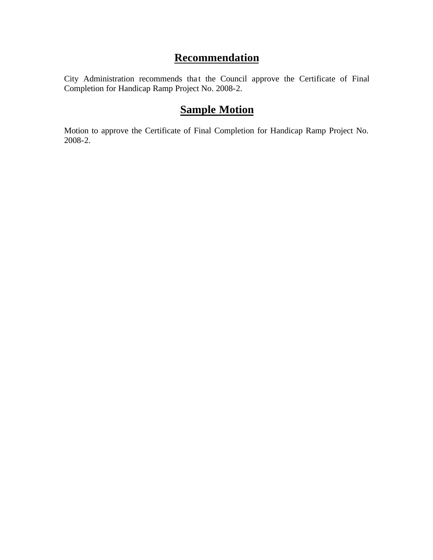## **Recommendation**

City Administration recommends that the Council approve the Certificate of Final Completion for Handicap Ramp Project No. 2008-2.

### **Sample Motion**

Motion to approve the Certificate of Final Completion for Handicap Ramp Project No. 2008-2.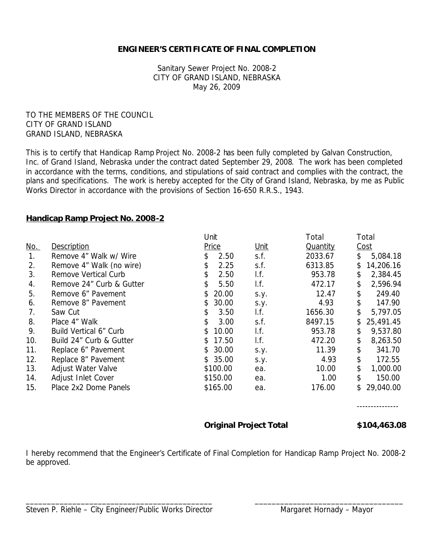#### **ENGINEER'S CERTIFICATE OF FINAL COMPLETION**

Sanitary Sewer Project No. 2008-2 CITY OF GRAND ISLAND, NEBRASKA May 26, 2009

TO THE MEMBERS OF THE COUNCIL CITY OF GRAND ISLAND GRAND ISLAND, NEBRASKA

This is to certify that Handicap Ramp Project No. 2008-2 has been fully completed by Galvan Construction, Inc. of Grand Island, Nebraska under the contract dated September 29, 2008. The work has been completed in accordance with the terms, conditions, and stipulations of said contract and complies with the contract, the plans and specifications. The work is hereby accepted for the City of Grand Island, Nebraska, by me as Public Works Director in accordance with the provisions of Section 16-650 R.R.S., 1943.

#### **Handicap Ramp Project No. 2008-2**

|            |                          | Unit |          |                          | Total           | Total           |
|------------|--------------------------|------|----------|--------------------------|-----------------|-----------------|
| <u>No.</u> | Description              |      | Price    | <u>Unit</u>              | <b>Quantity</b> | Cost            |
| 1.         | Remove 4" Walk w/ Wire   |      | 2.50     | s.f.                     | 2033.67         | \$<br>5,084.18  |
| 2.         | Remove 4" Walk (no wire) |      | 2.25     | s.f.                     | 6313.85         | \$<br>14,206.16 |
| 3.         | Remove Vertical Curb     | \$   | 2.50     | I.f.                     | 953.78          | \$<br>2,384.45  |
| 4.         | Remove 24" Curb & Gutter | \$   | 5.50     | $\mathsf{I}.\mathsf{f}.$ | 472.17          | \$<br>2,596.94  |
| 5.         | Remove 6" Pavement       | S    | 20.00    | S.y.                     | 12.47           | \$<br>249.40    |
| 6.         | Remove 8" Pavement       |      | 30.00    | S.y.                     | 4.93            | \$<br>147.90    |
| 7.         | Saw Cut                  | \$   | 3.50     | I.f.                     | 1656.30         | \$<br>5,797.05  |
| 8.         | Place 4" Walk            | \$   | 3.00     | s.f.                     | 8497.15         | 25,491.45       |
| 9.         | Build Vertical 6" Curb   | S.   | 10.00    | I.f.                     | 953.78          | \$<br>9,537.80  |
| 10.        | Build 24" Curb & Gutter  | S.   | 17.50    | $\mathsf{I}.\mathsf{f}.$ | 472.20          | \$<br>8,263.50  |
| 11.        | Replace 6" Pavement      | \$   | 30.00    | S.Y.                     | 11.39           | \$<br>341.70    |
| 12.        | Replace 8" Pavement      |      | \$35.00  | S.y.                     | 4.93            | \$<br>172.55    |
| 13.        | Adjust Water Valve       |      | \$100.00 | ea.                      | 10.00           | \$<br>1,000.00  |
| 14.        | Adjust Inlet Cover       |      | \$150.00 | ea.                      | 1.00            | \$<br>150.00    |
| 15.        | Place 2x2 Dome Panels    |      | \$165.00 | ea.                      | 176.00          | 29,040.00       |

---------------

**Original Project Total \$104,463.08**

I hereby recommend that the Engineer's Certificate of Final Completion for Handicap Ramp Project No. 2008-2 be approved.

\_\_\_\_\_\_\_\_\_\_\_\_\_\_\_\_\_\_\_\_\_\_\_\_\_\_\_\_\_\_\_\_\_\_\_\_\_\_\_\_\_\_\_\_ \_\_\_\_\_\_\_\_\_\_\_\_\_\_\_\_\_\_\_\_\_\_\_\_\_\_\_\_\_\_\_\_\_\_\_